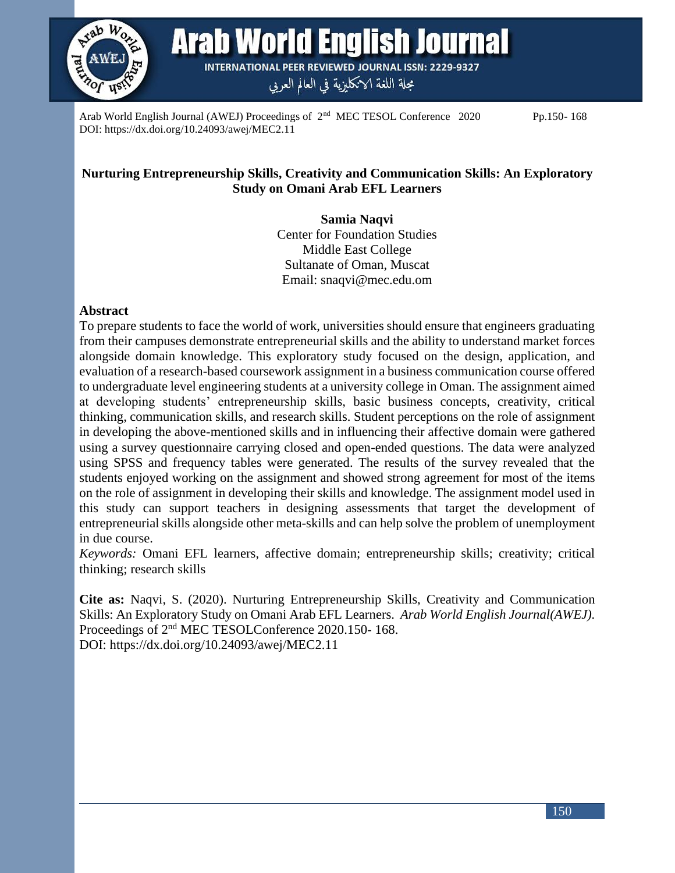

Arab World English Journal **INTERNATIONAL PEER REVIEWED JOURNAL ISSN: 2229-9327** 

مجلة اللغة الانكليزية في العالم العربي

Arab World English Journal (AWEJ) Proceedings of  $2<sup>nd</sup>$  MEC TESOL Conference 2020 Pp.150-168 DOI: https://dx.doi.org/10.24093/awej/MEC2.11

# **Nurturing Entrepreneurship Skills, Creativity and Communication Skills: An Exploratory Study on Omani Arab EFL Learners**

**Samia Naqvi** Center for Foundation Studies Middle East College Sultanate of Oman, Muscat Email: snaqvi@mec.edu.om

## **Abstract**

To prepare students to face the world of work, universities should ensure that engineers graduating from their campuses demonstrate entrepreneurial skills and the ability to understand market forces alongside domain knowledge. This exploratory study focused on the design, application, and evaluation of a research-based coursework assignment in a business communication course offered to undergraduate level engineering students at a university college in Oman. The assignment aimed at developing students' entrepreneurship skills, basic business concepts, creativity, critical thinking, communication skills, and research skills. Student perceptions on the role of assignment in developing the above-mentioned skills and in influencing their affective domain were gathered using a survey questionnaire carrying closed and open-ended questions. The data were analyzed using SPSS and frequency tables were generated. The results of the survey revealed that the students enjoyed working on the assignment and showed strong agreement for most of the items on the role of assignment in developing their skills and knowledge. The assignment model used in this study can support teachers in designing assessments that target the development of entrepreneurial skills alongside other meta-skills and can help solve the problem of unemployment in due course.

*Keywords:* Omani EFL learners, affective domain; entrepreneurship skills; creativity; critical thinking; research skills

**Cite as:** Naqvi, S. (2020). Nurturing Entrepreneurship Skills, Creativity and Communication Skills: An Exploratory Study on Omani Arab EFL Learners. *Arab World English Journal(AWEJ).*  Proceedings of 2nd MEC TESOLConference 2020.150- 168. DOI: https://dx.doi.org/10.24093/awej/MEC2.11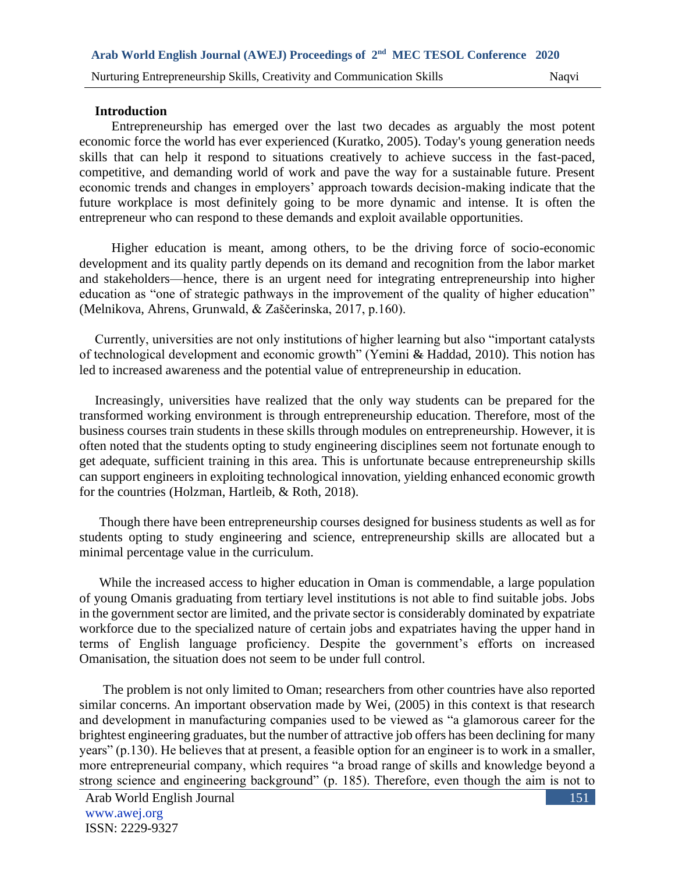#### **Introduction**

 Entrepreneurship has emerged over the last two decades as arguably the most potent economic force the world has ever experienced (Kuratko, 2005). Today's young generation needs skills that can help it respond to situations creatively to achieve success in the fast-paced, competitive, and demanding world of work and pave the way for a sustainable future. Present economic trends and changes in employers' approach towards decision-making indicate that the future workplace is most definitely going to be more dynamic and intense. It is often the entrepreneur who can respond to these demands and exploit available opportunities.

 Higher education is meant, among others, to be the driving force of socio-economic development and its quality partly depends on its demand and recognition from the labor market and stakeholders—hence, there is an urgent need for integrating entrepreneurship into higher education as "one of strategic pathways in the improvement of the quality of higher education" (Melnikova, Ahrens, Grunwald, & Zaščerinska, 2017, p.160).

Currently, universities are not only institutions of higher learning but also "important catalysts of technological development and economic growth" (Yemini & Haddad, 2010). This notion has led to increased awareness and the potential value of entrepreneurship in education.

Increasingly, universities have realized that the only way students can be prepared for the transformed working environment is through entrepreneurship education. Therefore, most of the business courses train students in these skills through modules on entrepreneurship. However, it is often noted that the students opting to study engineering disciplines seem not fortunate enough to get adequate, sufficient training in this area. This is unfortunate because entrepreneurship skills can support engineers in exploiting technological innovation, yielding enhanced economic growth for the countries (Holzman, Hartleib, & Roth, 2018).

Though there have been entrepreneurship courses designed for business students as well as for students opting to study engineering and science, entrepreneurship skills are allocated but a minimal percentage value in the curriculum.

While the increased access to higher education in Oman is commendable, a large population of young Omanis graduating from tertiary level institutions is not able to find suitable jobs. Jobs in the government sector are limited, and the private sector is considerably dominated by expatriate workforce due to the specialized nature of certain jobs and expatriates having the upper hand in terms of English language proficiency. Despite the government's efforts on increased Omanisation, the situation does not seem to be under full control.

The problem is not only limited to Oman; researchers from other countries have also reported similar concerns. An important observation made by Wei, (2005) in this context is that research and development in manufacturing companies used to be viewed as "a glamorous career for the brightest engineering graduates, but the number of attractive job offers has been declining for many years" (p.130). He believes that at present, a feasible option for an engineer is to work in a smaller, more entrepreneurial company, which requires "a broad range of skills and knowledge beyond a strong science and engineering background" (p. 185). Therefore, even though the aim is not to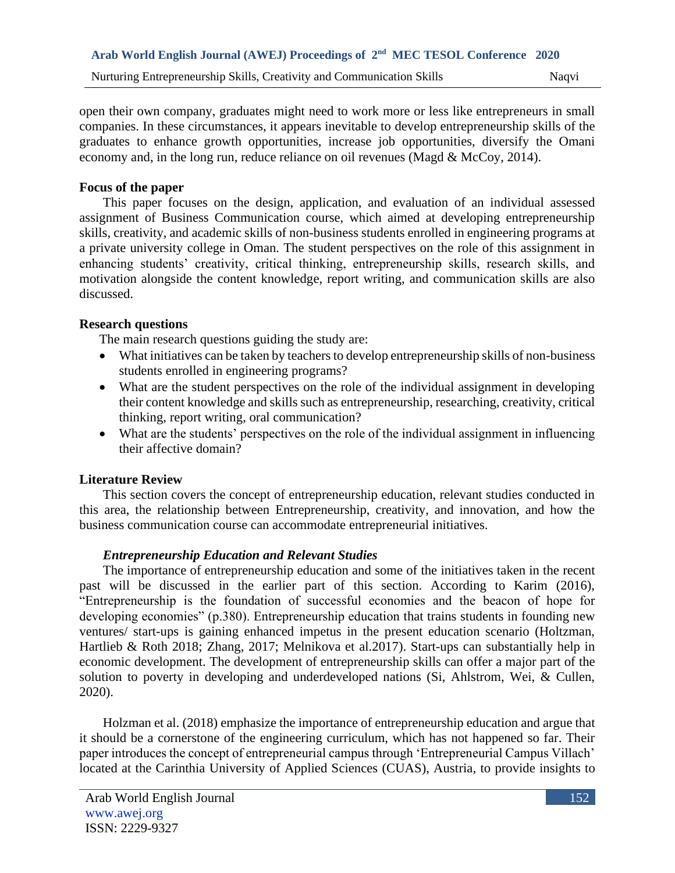open their own company, graduates might need to work more or less like entrepreneurs in small companies. In these circumstances, it appears inevitable to develop entrepreneurship skills of the graduates to enhance growth opportunities, increase job opportunities, diversify the Omani economy and, in the long run, reduce reliance on oil revenues (Magd & McCoy, 2014).

### **Focus of the paper**

This paper focuses on the design, application, and evaluation of an individual assessed assignment of Business Communication course, which aimed at developing entrepreneurship skills, creativity, and academic skills of non-business students enrolled in engineering programs at a private university college in Oman. The student perspectives on the role of this assignment in enhancing students' creativity, critical thinking, entrepreneurship skills, research skills, and motivation alongside the content knowledge, report writing, and communication skills are also discussed.

# **Research questions**

The main research questions guiding the study are:

- What initiatives can be taken by teachers to develop entrepreneurship skills of non-business students enrolled in engineering programs?
- What are the student perspectives on the role of the individual assignment in developing their content knowledge and skills such as entrepreneurship, researching, creativity, critical thinking, report writing, oral communication?
- What are the students' perspectives on the role of the individual assignment in influencing their affective domain?

# **Literature Review**

This section covers the concept of entrepreneurship education, relevant studies conducted in this area, the relationship between Entrepreneurship, creativity, and innovation, and how the business communication course can accommodate entrepreneurial initiatives.

# *Entrepreneurship Education and Relevant Studies*

The importance of entrepreneurship education and some of the initiatives taken in the recent past will be discussed in the earlier part of this section. According to Karim (2016), "Entrepreneurship is the foundation of successful economies and the beacon of hope for developing economies" (p.380). Entrepreneurship education that trains students in founding new ventures/ start-ups is gaining enhanced impetus in the present education scenario (Holtzman, Hartlieb & Roth 2018; Zhang, 2017; Melnikova et al.2017). Start-ups can substantially help in economic development. The development of entrepreneurship skills can offer a major part of the solution to poverty in developing and underdeveloped nations (Si, Ahlstrom, Wei, & Cullen, 2020).

Holzman et al. (2018) emphasize the importance of entrepreneurship education and argue that it should be a cornerstone of the engineering curriculum, which has not happened so far. Their paper introduces the concept of entrepreneurial campus through 'Entrepreneurial Campus Villach' located at the Carinthia University of Applied Sciences (CUAS), Austria, to provide insights to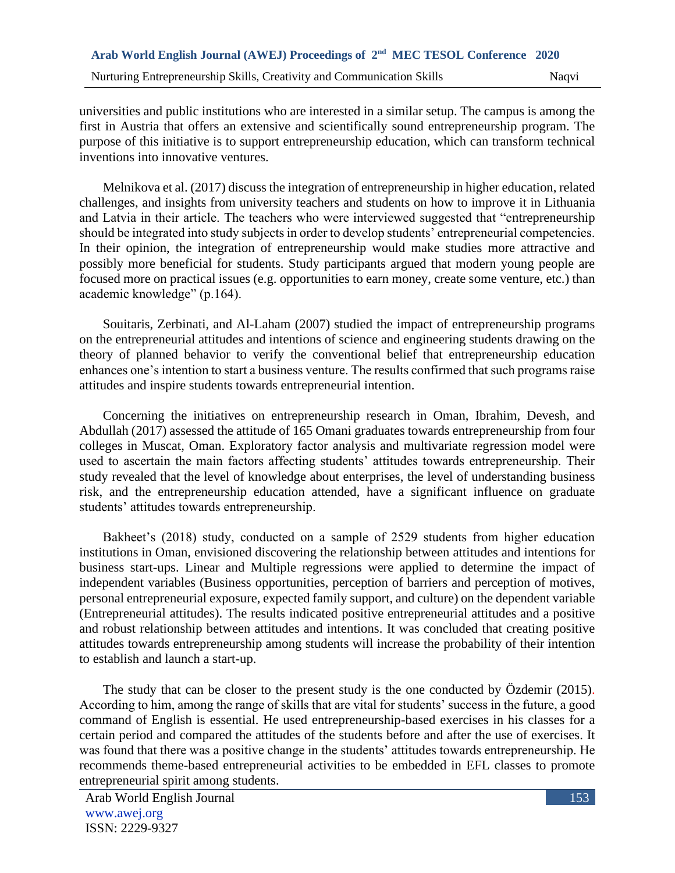universities and public institutions who are interested in a similar setup. The campus is among the first in Austria that offers an extensive and scientifically sound entrepreneurship program. The purpose of this initiative is to support entrepreneurship education, which can transform technical inventions into innovative ventures.

Melnikova et al. (2017) discuss the integration of entrepreneurship in higher education, related challenges, and insights from university teachers and students on how to improve it in Lithuania and Latvia in their article. The teachers who were interviewed suggested that "entrepreneurship should be integrated into study subjects in order to develop students' entrepreneurial competencies. In their opinion, the integration of entrepreneurship would make studies more attractive and possibly more beneficial for students. Study participants argued that modern young people are focused more on practical issues (e.g. opportunities to earn money, create some venture, etc.) than academic knowledge" (p.164).

Souitaris, Zerbinati, and Al-Laham (2007) studied the impact of entrepreneurship programs on the entrepreneurial attitudes and intentions of science and engineering students drawing on the theory of planned behavior to verify the conventional belief that entrepreneurship education enhances one's intention to start a business venture. The results confirmed that such programs raise attitudes and inspire students towards entrepreneurial intention.

Concerning the initiatives on entrepreneurship research in Oman, Ibrahim, Devesh, and Abdullah (2017) assessed the attitude of 165 Omani graduates towards entrepreneurship from four colleges in Muscat, Oman. Exploratory factor analysis and multivariate regression model were used to ascertain the main factors affecting students' attitudes towards entrepreneurship. Their study revealed that the level of knowledge about enterprises, the level of understanding business risk, and the entrepreneurship education attended, have a significant influence on graduate students' attitudes towards entrepreneurship.

Bakheet's (2018) study, conducted on a sample of 2529 students from higher education institutions in Oman, envisioned discovering the relationship between attitudes and intentions for business start-ups. Linear and Multiple regressions were applied to determine the impact of independent variables (Business opportunities, perception of barriers and perception of motives, personal entrepreneurial exposure, expected family support, and culture) on the dependent variable (Entrepreneurial attitudes). The results indicated positive entrepreneurial attitudes and a positive and robust relationship between attitudes and intentions. It was concluded that creating positive attitudes towards entrepreneurship among students will increase the probability of their intention to establish and launch a start-up.

The study that can be closer to the present study is the one conducted by Özdemir (2015). According to him, among the range of skills that are vital for students' success in the future, a good command of English is essential. He used entrepreneurship-based exercises in his classes for a certain period and compared the attitudes of the students before and after the use of exercises. It was found that there was a positive change in the students' attitudes towards entrepreneurship. He recommends theme-based entrepreneurial activities to be embedded in EFL classes to promote entrepreneurial spirit among students.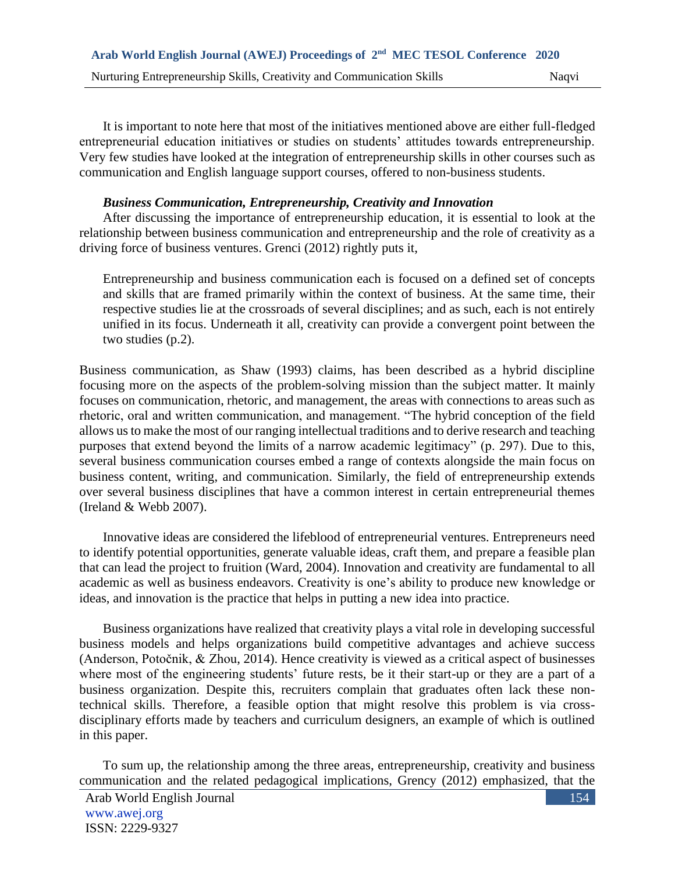It is important to note here that most of the initiatives mentioned above are either full-fledged entrepreneurial education initiatives or studies on students' attitudes towards entrepreneurship. Very few studies have looked at the integration of entrepreneurship skills in other courses such as communication and English language support courses, offered to non-business students.

## *Business Communication, Entrepreneurship, Creativity and Innovation*

After discussing the importance of entrepreneurship education, it is essential to look at the relationship between business communication and entrepreneurship and the role of creativity as a driving force of business ventures. Grenci (2012) rightly puts it,

Entrepreneurship and business communication each is focused on a defined set of concepts and skills that are framed primarily within the context of business. At the same time, their respective studies lie at the crossroads of several disciplines; and as such, each is not entirely unified in its focus. Underneath it all, creativity can provide a convergent point between the two studies (p.2).

Business communication, as Shaw (1993) claims, has been described as a hybrid discipline focusing more on the aspects of the problem-solving mission than the subject matter. It mainly focuses on communication, rhetoric, and management, the areas with connections to areas such as rhetoric, oral and written communication, and management. "The hybrid conception of the field allows us to make the most of our ranging intellectual traditions and to derive research and teaching purposes that extend beyond the limits of a narrow academic legitimacy" (p. 297). Due to this, several business communication courses embed a range of contexts alongside the main focus on business content, writing, and communication. Similarly, the field of entrepreneurship extends over several business disciplines that have a common interest in certain entrepreneurial themes (Ireland & Webb 2007).

Innovative ideas are considered the lifeblood of entrepreneurial ventures. Entrepreneurs need to identify potential opportunities, generate valuable ideas, craft them, and prepare a feasible plan that can lead the project to fruition (Ward, 2004). Innovation and creativity are fundamental to all academic as well as business endeavors. Creativity is one's ability to produce new knowledge or ideas, and innovation is the practice that helps in putting a new idea into practice.

Business organizations have realized that creativity plays a vital role in developing successful business models and helps organizations build competitive advantages and achieve success (Anderson, Potočnik, & Zhou, 2014). Hence creativity is viewed as a critical aspect of businesses where most of the engineering students' future rests, be it their start-up or they are a part of a business organization. Despite this, recruiters complain that graduates often lack these nontechnical skills. Therefore, a feasible option that might resolve this problem is via crossdisciplinary efforts made by teachers and curriculum designers, an example of which is outlined in this paper.

To sum up, the relationship among the three areas, entrepreneurship, creativity and business communication and the related pedagogical implications, Grency (2012) emphasized, that the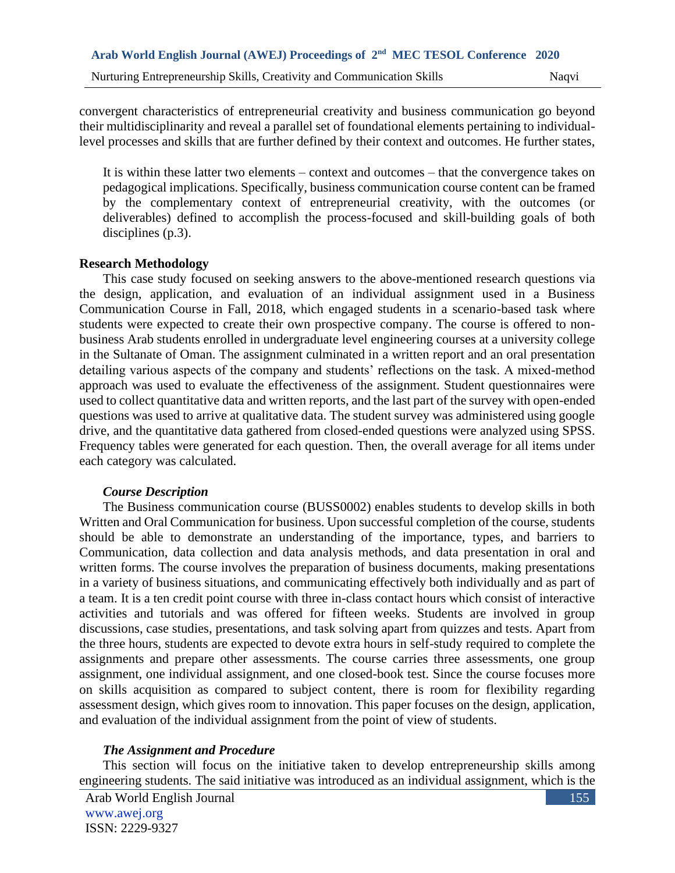convergent characteristics of entrepreneurial creativity and business communication go beyond their multidisciplinarity and reveal a parallel set of foundational elements pertaining to individuallevel processes and skills that are further defined by their context and outcomes. He further states,

It is within these latter two elements – context and outcomes – that the convergence takes on pedagogical implications. Specifically, business communication course content can be framed by the complementary context of entrepreneurial creativity, with the outcomes (or deliverables) defined to accomplish the process-focused and skill-building goals of both disciplines (p.3).

### **Research Methodology**

This case study focused on seeking answers to the above-mentioned research questions via the design, application, and evaluation of an individual assignment used in a Business Communication Course in Fall, 2018, which engaged students in a scenario-based task where students were expected to create their own prospective company. The course is offered to nonbusiness Arab students enrolled in undergraduate level engineering courses at a university college in the Sultanate of Oman. The assignment culminated in a written report and an oral presentation detailing various aspects of the company and students' reflections on the task. A mixed-method approach was used to evaluate the effectiveness of the assignment. Student questionnaires were used to collect quantitative data and written reports, and the last part of the survey with open-ended questions was used to arrive at qualitative data. The student survey was administered using google drive, and the quantitative data gathered from closed-ended questions were analyzed using SPSS. Frequency tables were generated for each question. Then, the overall average for all items under each category was calculated.

### *Course Description*

The Business communication course (BUSS0002) enables students to develop skills in both Written and Oral Communication for business. Upon successful completion of the course, students should be able to demonstrate an understanding of the importance, types, and barriers to Communication, data collection and data analysis methods, and data presentation in oral and written forms. The course involves the preparation of business documents, making presentations in a variety of business situations, and communicating effectively both individually and as part of a team. It is a ten credit point course with three in-class contact hours which consist of interactive activities and tutorials and was offered for fifteen weeks. Students are involved in group discussions, case studies, presentations, and task solving apart from quizzes and tests. Apart from the three hours, students are expected to devote extra hours in self-study required to complete the assignments and prepare other assessments. The course carries three assessments, one group assignment, one individual assignment, and one closed-book test. Since the course focuses more on skills acquisition as compared to subject content, there is room for flexibility regarding assessment design, which gives room to innovation. This paper focuses on the design, application, and evaluation of the individual assignment from the point of view of students.

# *The Assignment and Procedure*

This section will focus on the initiative taken to develop entrepreneurship skills among engineering students. The said initiative was introduced as an individual assignment, which is the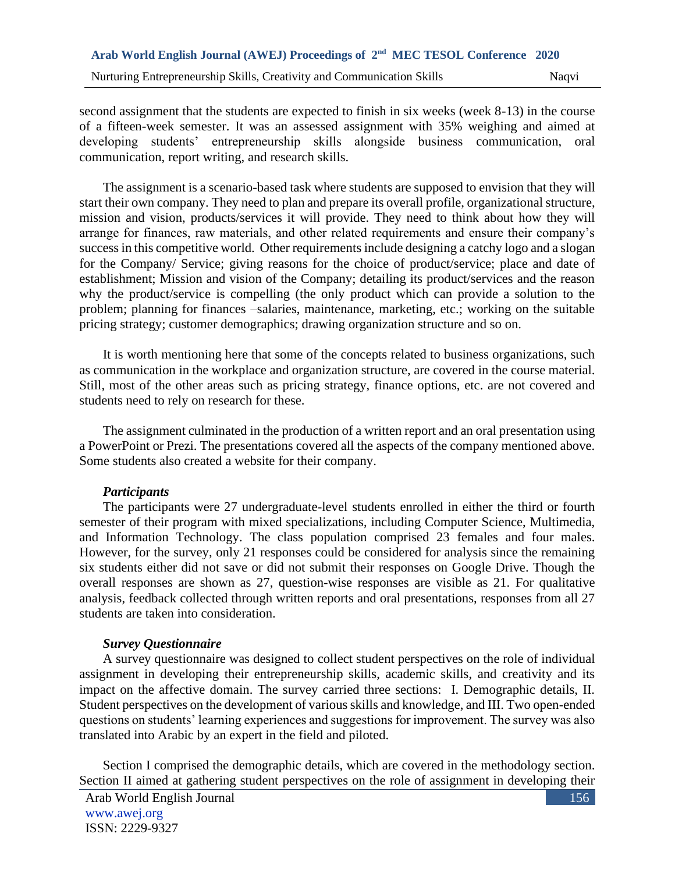second assignment that the students are expected to finish in six weeks (week 8-13) in the course of a fifteen-week semester. It was an assessed assignment with 35% weighing and aimed at developing students' entrepreneurship skills alongside business communication, oral communication, report writing, and research skills.

The assignment is a scenario-based task where students are supposed to envision that they will start their own company. They need to plan and prepare its overall profile, organizational structure, mission and vision, products/services it will provide. They need to think about how they will arrange for finances, raw materials, and other related requirements and ensure their company's success in this competitive world. Other requirements include designing a catchy logo and a slogan for the Company/ Service; giving reasons for the choice of product/service; place and date of establishment; Mission and vision of the Company; detailing its product/services and the reason why the product/service is compelling (the only product which can provide a solution to the problem; planning for finances –salaries, maintenance, marketing, etc.; working on the suitable pricing strategy; customer demographics; drawing organization structure and so on.

It is worth mentioning here that some of the concepts related to business organizations, such as communication in the workplace and organization structure, are covered in the course material. Still, most of the other areas such as pricing strategy, finance options, etc. are not covered and students need to rely on research for these.

The assignment culminated in the production of a written report and an oral presentation using a PowerPoint or Prezi. The presentations covered all the aspects of the company mentioned above. Some students also created a website for their company.

# *Participants*

The participants were 27 undergraduate-level students enrolled in either the third or fourth semester of their program with mixed specializations, including Computer Science, Multimedia, and Information Technology. The class population comprised 23 females and four males. However, for the survey, only 21 responses could be considered for analysis since the remaining six students either did not save or did not submit their responses on Google Drive. Though the overall responses are shown as 27, question-wise responses are visible as 21. For qualitative analysis, feedback collected through written reports and oral presentations, responses from all 27 students are taken into consideration.

# *Survey Questionnaire*

A survey questionnaire was designed to collect student perspectives on the role of individual assignment in developing their entrepreneurship skills, academic skills, and creativity and its impact on the affective domain. The survey carried three sections: I. Demographic details, II. Student perspectives on the development of various skills and knowledge, and III. Two open-ended questions on students' learning experiences and suggestions for improvement. The survey was also translated into Arabic by an expert in the field and piloted.

Section I comprised the demographic details, which are covered in the methodology section. Section II aimed at gathering student perspectives on the role of assignment in developing their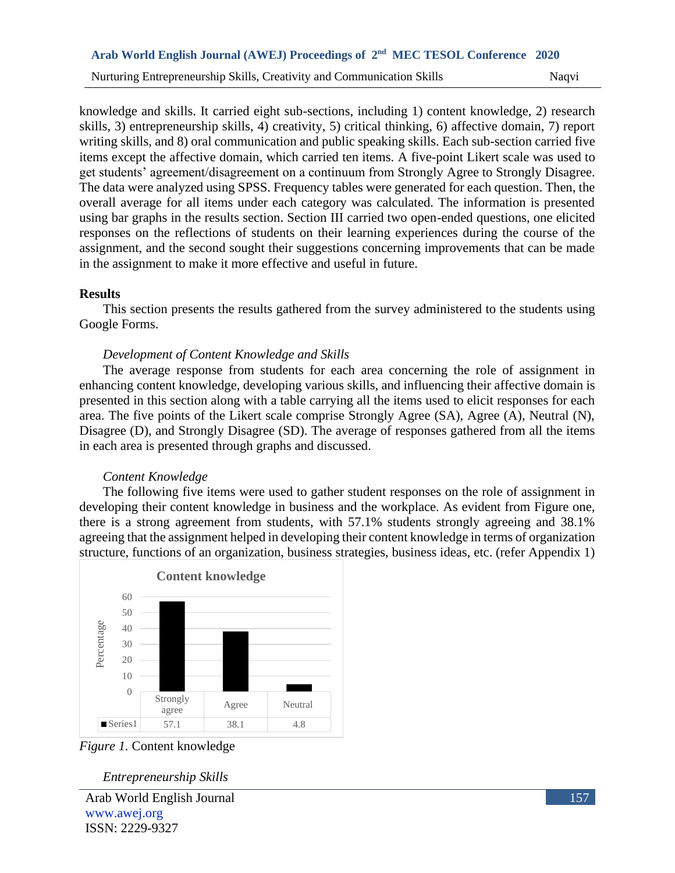knowledge and skills. It carried eight sub-sections, including 1) content knowledge, 2) research skills, 3) entrepreneurship skills, 4) creativity, 5) critical thinking, 6) affective domain, 7) report writing skills, and 8) oral communication and public speaking skills. Each sub-section carried five items except the affective domain, which carried ten items. A five-point Likert scale was used to get students' agreement/disagreement on a continuum from Strongly Agree to Strongly Disagree. The data were analyzed using SPSS. Frequency tables were generated for each question. Then, the overall average for all items under each category was calculated. The information is presented using bar graphs in the results section. Section III carried two open-ended questions, one elicited responses on the reflections of students on their learning experiences during the course of the assignment, and the second sought their suggestions concerning improvements that can be made in the assignment to make it more effective and useful in future.

#### **Results**

This section presents the results gathered from the survey administered to the students using Google Forms.

#### *Development of Content Knowledge and Skills*

The average response from students for each area concerning the role of assignment in enhancing content knowledge, developing various skills, and influencing their affective domain is presented in this section along with a table carrying all the items used to elicit responses for each area. The five points of the Likert scale comprise Strongly Agree (SA), Agree (A), Neutral (N), Disagree (D), and Strongly Disagree (SD). The average of responses gathered from all the items in each area is presented through graphs and discussed.

#### *Content Knowledge*

The following five items were used to gather student responses on the role of assignment in developing their content knowledge in business and the workplace. As evident from Figure one, there is a strong agreement from students, with 57.1% students strongly agreeing and 38.1% agreeing that the assignment helped in developing their content knowledge in terms of organization structure, functions of an organization, business strategies, business ideas, etc. (refer Appendix 1)



*Figure 1.* Content knowledge

#### *Entrepreneurship Skills*

Arab World English Journal www.awej.org ISSN: 2229-9327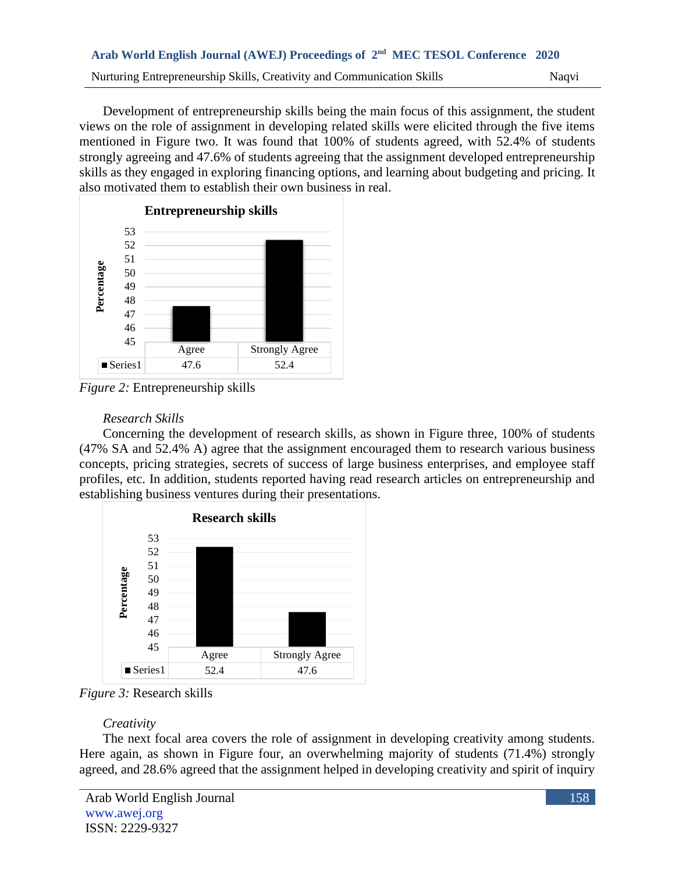Development of entrepreneurship skills being the main focus of this assignment, the student views on the role of assignment in developing related skills were elicited through the five items mentioned in Figure two. It was found that 100% of students agreed, with 52.4% of students strongly agreeing and 47.6% of students agreeing that the assignment developed entrepreneurship skills as they engaged in exploring financing options, and learning about budgeting and pricing. It also motivated them to establish their own business in real.



*Figure 2:* Entrepreneurship skills

# *Research Skills*

Concerning the development of research skills, as shown in Figure three, 100% of students (47% SA and 52.4% A) agree that the assignment encouraged them to research various business concepts, pricing strategies, secrets of success of large business enterprises, and employee staff profiles, etc. In addition, students reported having read research articles on entrepreneurship and establishing business ventures during their presentations.



*Figure 3:* Research skills

# *Creativity*

The next focal area covers the role of assignment in developing creativity among students. Here again, as shown in Figure four, an overwhelming majority of students (71.4%) strongly agreed, and 28.6% agreed that the assignment helped in developing creativity and spirit of inquiry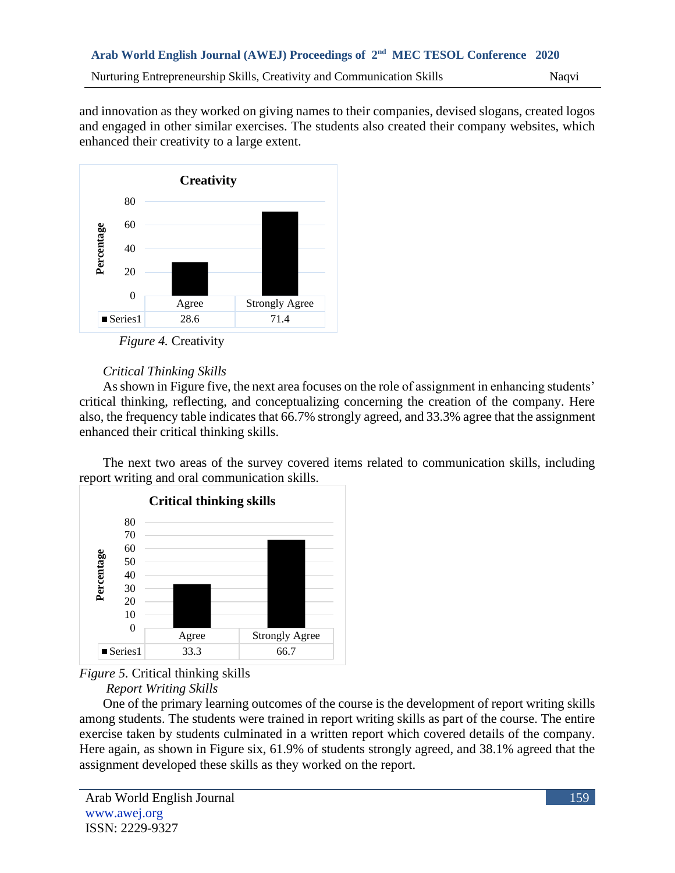and innovation as they worked on giving names to their companies, devised slogans, created logos and engaged in other similar exercises. The students also created their company websites, which enhanced their creativity to a large extent.



*Figure 4.* Creativity

# *Critical Thinking Skills*

As shown in Figure five, the next area focuses on the role of assignment in enhancing students' critical thinking, reflecting, and conceptualizing concerning the creation of the company. Here also, the frequency table indicates that 66.7% strongly agreed, and 33.3% agree that the assignment enhanced their critical thinking skills.

The next two areas of the survey covered items related to communication skills, including report writing and oral communication skills.





*Report Writing Skills*

One of the primary learning outcomes of the course is the development of report writing skills among students. The students were trained in report writing skills as part of the course. The entire exercise taken by students culminated in a written report which covered details of the company. Here again, as shown in Figure six, 61.9% of students strongly agreed, and 38.1% agreed that the assignment developed these skills as they worked on the report.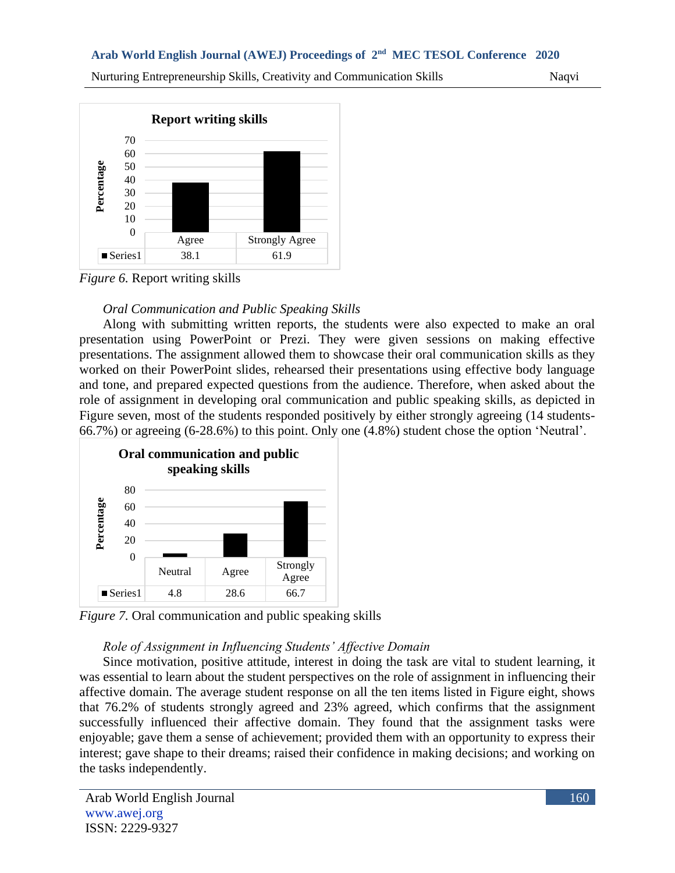Nurturing Entrepreneurship Skills, Creativity and Communication Skills Naqvi



*Figure 6.* Report writing skills

# *Oral Communication and Public Speaking Skills*

Along with submitting written reports, the students were also expected to make an oral presentation using PowerPoint or Prezi. They were given sessions on making effective presentations. The assignment allowed them to showcase their oral communication skills as they worked on their PowerPoint slides, rehearsed their presentations using effective body language and tone, and prepared expected questions from the audience. Therefore, when asked about the role of assignment in developing oral communication and public speaking skills, as depicted in Figure seven, most of the students responded positively by either strongly agreeing (14 students-66.7%) or agreeing (6-28.6%) to this point. Only one (4.8%) student chose the option 'Neutral'.



*Figure 7.* Oral communication and public speaking skills

# *Role of Assignment in Influencing Students' Affective Domain*

Since motivation, positive attitude, interest in doing the task are vital to student learning, it was essential to learn about the student perspectives on the role of assignment in influencing their affective domain. The average student response on all the ten items listed in Figure eight, shows that 76.2% of students strongly agreed and 23% agreed, which confirms that the assignment successfully influenced their affective domain. They found that the assignment tasks were enjoyable; gave them a sense of achievement; provided them with an opportunity to express their interest; gave shape to their dreams; raised their confidence in making decisions; and working on the tasks independently.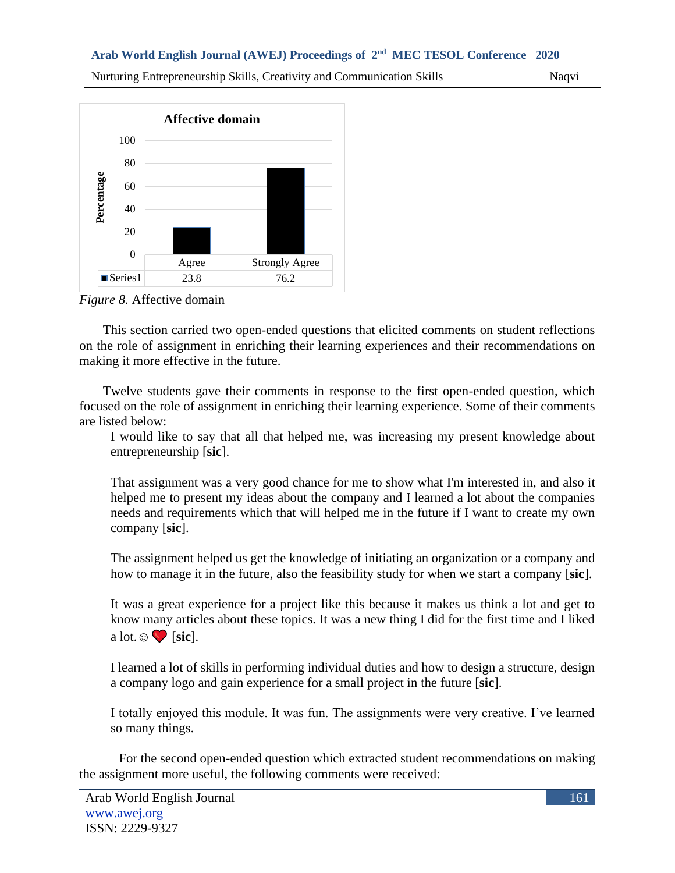Nurturing Entrepreneurship Skills, Creativity and Communication Skills Naqvi



*Figure 8.* Affective domain

This section carried two open-ended questions that elicited comments on student reflections on the role of assignment in enriching their learning experiences and their recommendations on making it more effective in the future.

Twelve students gave their comments in response to the first open-ended question, which focused on the role of assignment in enriching their learning experience. Some of their comments are listed below:

I would like to say that all that helped me, was increasing my present knowledge about entrepreneurship [**sic**].

That assignment was a very good chance for me to show what I'm interested in, and also it helped me to present my ideas about the company and I learned a lot about the companies needs and requirements which that will helped me in the future if I want to create my own company [**sic**].

The assignment helped us get the knowledge of initiating an organization or a company and how to manage it in the future, also the feasibility study for when we start a company [**sic**].

It was a great experience for a project like this because it makes us think a lot and get to know many articles about these topics. It was a new thing I did for the first time and I liked a lot.☺ [**sic**].

I learned a lot of skills in performing individual duties and how to design a structure, design a company logo and gain experience for a small project in the future [**sic**].

I totally enjoyed this module. It was fun. The assignments were very creative. I've learned so many things.

For the second open-ended question which extracted student recommendations on making the assignment more useful, the following comments were received: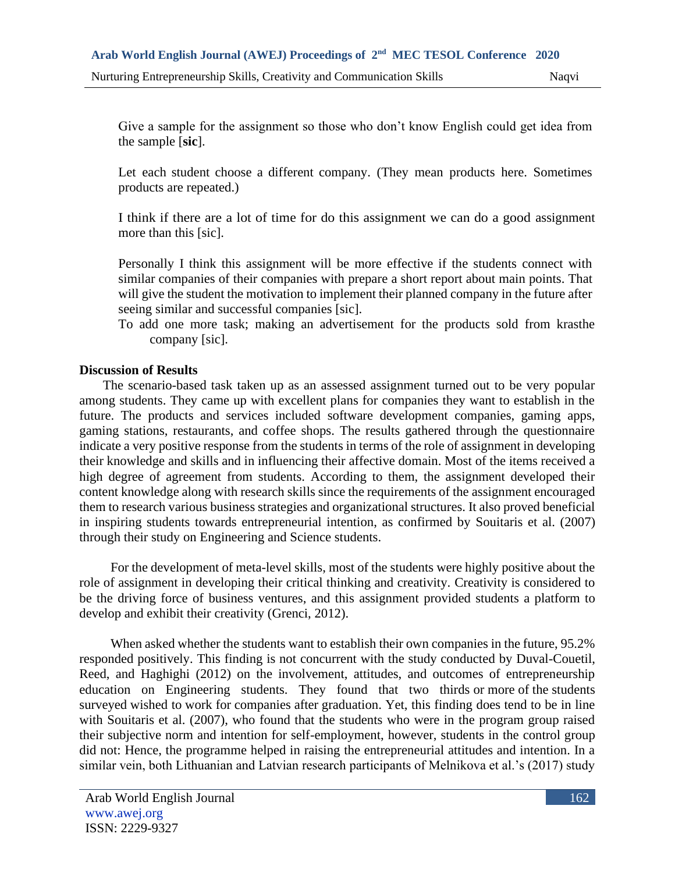Give a sample for the assignment so those who don't know English could get idea from the sample [**sic**].

Let each student choose a different company. (They mean products here. Sometimes products are repeated.)

I think if there are a lot of time for do this assignment we can do a good assignment more than this [sic].

Personally I think this assignment will be more effective if the students connect with similar companies of their companies with prepare a short report about main points. That will give the student the motivation to implement their planned company in the future after seeing similar and successful companies [sic].

To add one more task; making an advertisement for the products sold from krasthe company [sic].

## **Discussion of Results**

The scenario-based task taken up as an assessed assignment turned out to be very popular among students. They came up with excellent plans for companies they want to establish in the future. The products and services included software development companies, gaming apps, gaming stations, restaurants, and coffee shops. The results gathered through the questionnaire indicate a very positive response from the students in terms of the role of assignment in developing their knowledge and skills and in influencing their affective domain. Most of the items received a high degree of agreement from students. According to them, the assignment developed their content knowledge along with research skills since the requirements of the assignment encouraged them to research various business strategies and organizational structures. It also proved beneficial in inspiring students towards entrepreneurial intention, as confirmed by Souitaris et al. (2007) through their study on Engineering and Science students.

For the development of meta-level skills, most of the students were highly positive about the role of assignment in developing their critical thinking and creativity. Creativity is considered to be the driving force of business ventures, and this assignment provided students a platform to develop and exhibit their creativity (Grenci, 2012).

When asked whether the students want to establish their own companies in the future, 95.2% responded positively. This finding is not concurrent with the study conducted by Duval-Couetil, Reed, and Haghighi (2012) on the involvement, attitudes, and outcomes of entrepreneurship education on Engineering students. They found that two thirds or more of the students surveyed wished to work for companies after graduation. Yet, this finding does tend to be in line with Souitaris et al. (2007), who found that the students who were in the program group raised their subjective norm and intention for self-employment, however, students in the control group did not: Hence, the programme helped in raising the entrepreneurial attitudes and intention. In a similar vein, both Lithuanian and Latvian research participants of Melnikova et al.'s (2017) study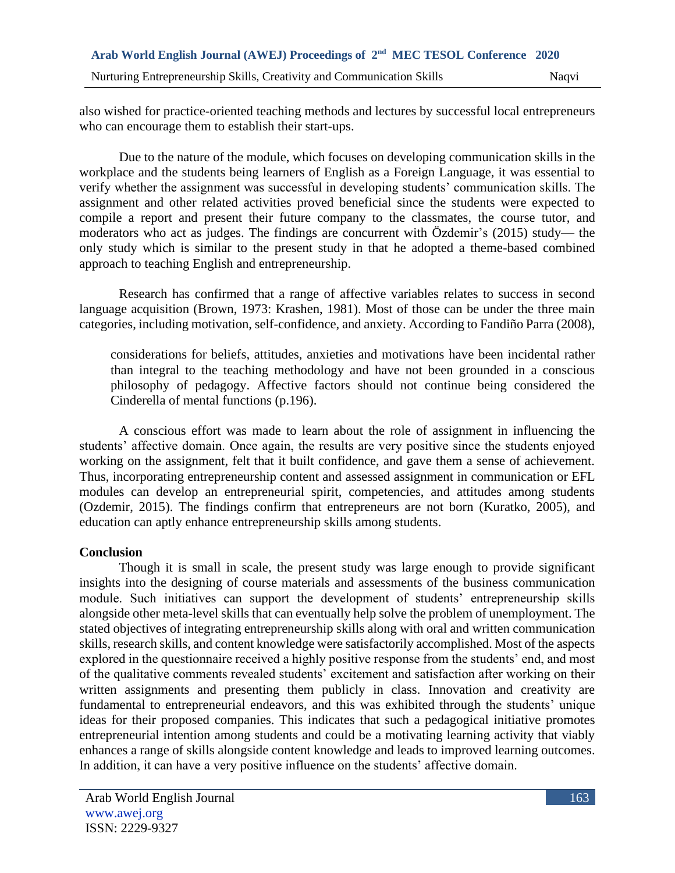also wished for practice-oriented teaching methods and lectures by successful local entrepreneurs who can encourage them to establish their start-ups.

Due to the nature of the module, which focuses on developing communication skills in the workplace and the students being learners of English as a Foreign Language, it was essential to verify whether the assignment was successful in developing students' communication skills. The assignment and other related activities proved beneficial since the students were expected to compile a report and present their future company to the classmates, the course tutor, and moderators who act as judges. The findings are concurrent with Özdemir's (2015) study— the only study which is similar to the present study in that he adopted a theme-based combined approach to teaching English and entrepreneurship.

Research has confirmed that a range of affective variables relates to success in second language acquisition (Brown, 1973: Krashen, 1981). Most of those can be under the three main categories, including motivation, self-confidence, and anxiety. According to Fandiño Parra (2008),

considerations for beliefs, attitudes, anxieties and motivations have been incidental rather than integral to the teaching methodology and have not been grounded in a conscious philosophy of pedagogy. Affective factors should not continue being considered the Cinderella of mental functions (p.196).

A conscious effort was made to learn about the role of assignment in influencing the students' affective domain. Once again, the results are very positive since the students enjoyed working on the assignment, felt that it built confidence, and gave them a sense of achievement. Thus, incorporating entrepreneurship content and assessed assignment in communication or EFL modules can develop an entrepreneurial spirit, competencies, and attitudes among students (Ozdemir, 2015). The findings confirm that entrepreneurs are not born (Kuratko, 2005), and education can aptly enhance entrepreneurship skills among students.

# **Conclusion**

Though it is small in scale, the present study was large enough to provide significant insights into the designing of course materials and assessments of the business communication module. Such initiatives can support the development of students' entrepreneurship skills alongside other meta-level skills that can eventually help solve the problem of unemployment. The stated objectives of integrating entrepreneurship skills along with oral and written communication skills, research skills, and content knowledge were satisfactorily accomplished. Most of the aspects explored in the questionnaire received a highly positive response from the students' end, and most of the qualitative comments revealed students' excitement and satisfaction after working on their written assignments and presenting them publicly in class. Innovation and creativity are fundamental to entrepreneurial endeavors, and this was exhibited through the students' unique ideas for their proposed companies. This indicates that such a pedagogical initiative promotes entrepreneurial intention among students and could be a motivating learning activity that viably enhances a range of skills alongside content knowledge and leads to improved learning outcomes. In addition, it can have a very positive influence on the students' affective domain.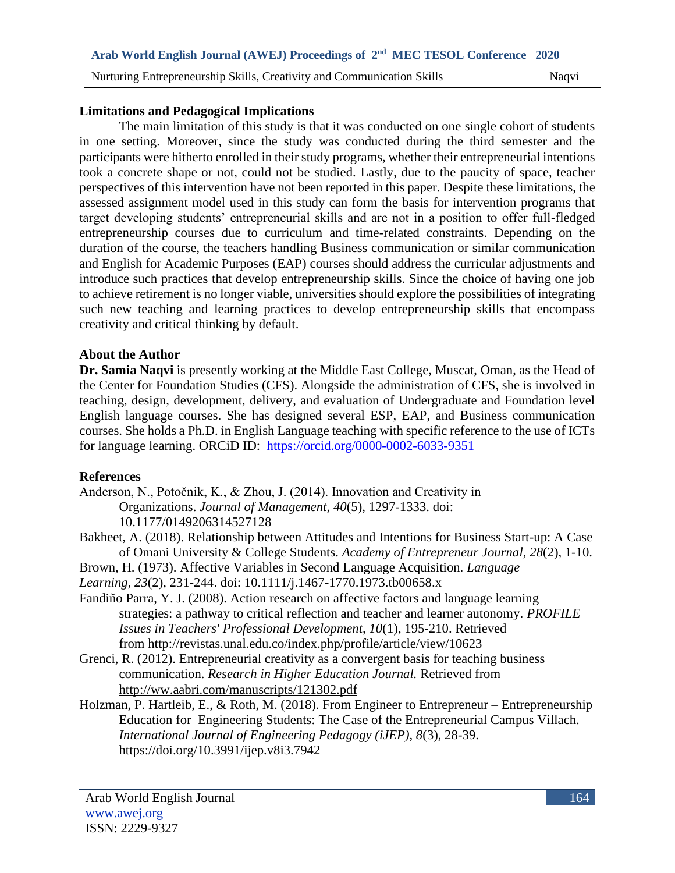## **Limitations and Pedagogical Implications**

The main limitation of this study is that it was conducted on one single cohort of students in one setting. Moreover, since the study was conducted during the third semester and the participants were hitherto enrolled in their study programs, whether their entrepreneurial intentions took a concrete shape or not, could not be studied. Lastly, due to the paucity of space, teacher perspectives of this intervention have not been reported in this paper. Despite these limitations, the assessed assignment model used in this study can form the basis for intervention programs that target developing students' entrepreneurial skills and are not in a position to offer full-fledged entrepreneurship courses due to curriculum and time-related constraints. Depending on the duration of the course, the teachers handling Business communication or similar communication and English for Academic Purposes (EAP) courses should address the curricular adjustments and introduce such practices that develop entrepreneurship skills. Since the choice of having one job to achieve retirement is no longer viable, universities should explore the possibilities of integrating such new teaching and learning practices to develop entrepreneurship skills that encompass creativity and critical thinking by default.

## **About the Author**

**Dr. Samia Naqvi** is presently working at the Middle East College, Muscat, Oman, as the Head of the Center for Foundation Studies (CFS). Alongside the administration of CFS, she is involved in teaching, design, development, delivery, and evaluation of Undergraduate and Foundation level English language courses. She has designed several ESP, EAP, and Business communication courses. She holds a Ph.D. in English Language teaching with specific reference to the use of ICTs for language learning. ORCiD ID: <https://orcid.org/0000-0002-6033-9351>

# **References**

Anderson, N., Potočnik, K., & Zhou, J. (2014). Innovation and Creativity in Organizations. *Journal of Management*, *40*(5), 1297-1333. doi: 10.1177/0149206314527128

- Bakheet, A. (2018). Relationship between Attitudes and Intentions for Business Start-up: A Case of Omani University & College Students. *Academy of Entrepreneur Journal, 28*(2), 1-10.
- Brown, H. (1973). Affective Variables in Second Language Acquisition. *Language*

*Learning, 23*(2), 231-244. doi: 10.1111/j.1467-1770.1973.tb00658.x

- Fandiño Parra, Y. J. (2008). Action research on affective factors and language learning strategies: a pathway to critical reflection and teacher and learner autonomy. *PROFILE Issues in Teachers' Professional Development, 10*(1), 195-210. Retrieved from <http://revistas.unal.edu.co/index.php/profile/article/view/10623>
- Grenci, R. (2012). Entrepreneurial creativity as a convergent basis for teaching business communication. *Research in Higher Education Journal.* Retrieved from <http://ww.aabri.com/manuscripts/121302.pdf>
- Holzman, P. Hartleib, E., & Roth, M. (2018). From Engineer to Entrepreneur Entrepreneurship Education for Engineering Students: The Case of the Entrepreneurial Campus Villach. *International Journal of Engineering Pedagogy (iJEP), 8*(3), 28-39. https://doi.org/10.3991/ijep.v8i3.7942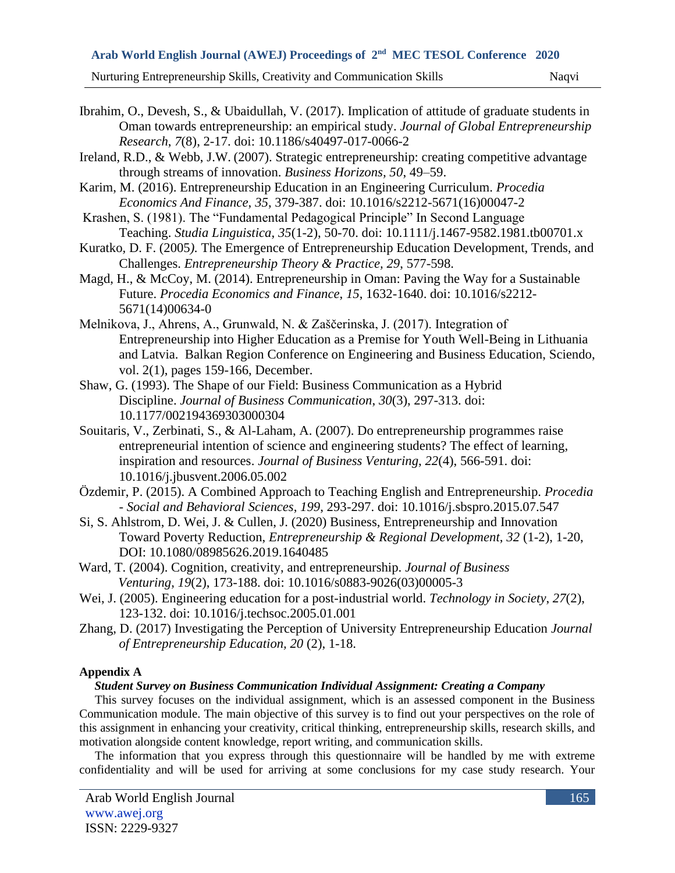Nurturing Entrepreneurship Skills, Creativity and Communication Skills Naqvi

- Ibrahim, O., Devesh, S., & Ubaidullah, V. (2017). Implication of attitude of graduate students in Oman towards entrepreneurship: an empirical study. *Journal of Global Entrepreneurship Research*, *7*(8), 2-17. doi: 10.1186/s40497-017-0066-2
- Ireland, R.D., & Webb, J.W. (2007). Strategic entrepreneurship: creating competitive advantage through streams of innovation. *Business Horizons, 50*, 49–59.
- Karim, M. (2016). Entrepreneurship Education in an Engineering Curriculum. *Procedia Economics And Finance*, *35*, 379-387. doi: 10.1016/s2212-5671(16)00047-2
- Krashen, S. (1981). The "Fundamental Pedagogical Principle" In Second Language Teaching. *Studia Linguistica*, *35*(1-2), 50-70. doi: 10.1111/j.1467-9582.1981.tb00701.x
- Kuratko*,* D. F. (2005*).* The Emergence of Entrepreneurship Education Development, Trends, and Challenges. *Entrepreneurship Theory & Practice, 29*, 577-598.
- Magd, H., & McCoy, M. (2014). Entrepreneurship in Oman: Paving the Way for a Sustainable Future. *Procedia Economics and Finance*, *15*, 1632-1640. doi: 10.1016/s2212- 5671(14)00634-0
- Melnikova, J., Ahrens, A., Grunwald, N. & Zaščerinska, J. (2017). Integration of Entrepreneurship into Higher Education as a Premise for Youth Well-Being in Lithuania and Latvia. [Balkan Region Conference on Engineering and Business Education,](https://ideas.repec.org/s/vrs/brcebe.html) Sciendo, vol. 2(1), pages 159-166, December.
- Shaw, G. (1993). The Shape of our Field: Business Communication as a Hybrid Discipline. *Journal of Business Communication*, *30*(3), 297-313. doi: 10.1177/002194369303000304
- Souitaris, V., Zerbinati, S., & Al-Laham, A. (2007). Do entrepreneurship programmes raise entrepreneurial intention of science and engineering students? The effect of learning, inspiration and resources. *Journal of Business Venturing*, *22*(4), 566-591. doi: 10.1016/j.jbusvent.2006.05.002
- Özdemir, P. (2015). A Combined Approach to Teaching English and Entrepreneurship. *Procedia - Social and Behavioral Sciences*, *199*, 293-297. doi: 10.1016/j.sbspro.2015.07.547
- Si, S. Ahlstrom, D. Wei, J. & Cullen, J. (2020) Business, Entrepreneurship and Innovation Toward Poverty Reduction, *Entrepreneurship & Regional Development*, *32* (1-2), 1-20, DOI: 10.1080/08985626.2019.1640485
- Ward, T. (2004). Cognition, creativity, and entrepreneurship. *Journal of Business Venturing*, *19*(2), 173-188. doi: 10.1016/s0883-9026(03)00005-3
- Wei, J. (2005). Engineering education for a post-industrial world. *Technology in Society*, *27*(2), 123-132. doi: 10.1016/j.techsoc.2005.01.001
- Zhang, D. (2017) Investigating the Perception of University Entrepreneurship Education *Journal of Entrepreneurship Education, 20* (2), 1-18.

### **Appendix A**

#### *Student Survey on Business Communication Individual Assignment: Creating a Company*

This survey focuses on the individual assignment, which is an assessed component in the Business Communication module. The main objective of this survey is to find out your perspectives on the role of this assignment in enhancing your creativity, critical thinking, entrepreneurship skills, research skills, and motivation alongside content knowledge, report writing, and communication skills.

The information that you express through this questionnaire will be handled by me with extreme confidentiality and will be used for arriving at some conclusions for my case study research. Your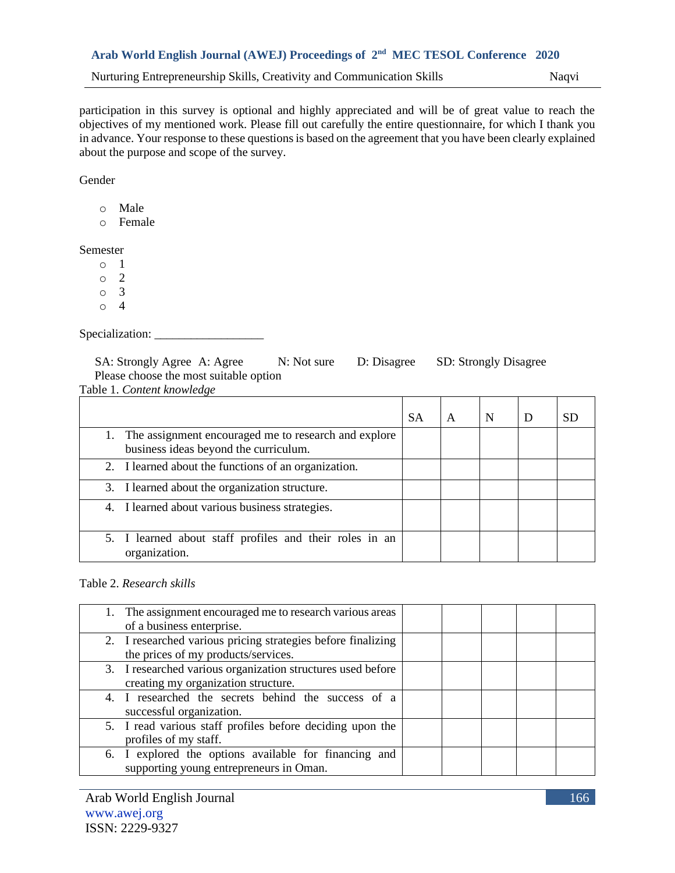participation in this survey is optional and highly appreciated and will be of great value to reach the objectives of my mentioned work. Please fill out carefully the entire questionnaire, for which I thank you in advance. Your response to these questions is based on the agreement that you have been clearly explained about the purpose and scope of the survey.

Gender

o Male

o Female

Semester

 $\circ$  1

o 2

o 3

 $\circ$  4

Specialization:

SA: Strongly Agree A: Agree N: Not sure D: Disagree SD: Strongly Disagree Please choose the most suitable option Table 1. *Content knowledge*

| Table 1. Content Milbritage                                                                      |    |   |   |   |    |
|--------------------------------------------------------------------------------------------------|----|---|---|---|----|
|                                                                                                  | SА | A | N | D | SD |
| 1. The assignment encouraged me to research and explore<br>business ideas beyond the curriculum. |    |   |   |   |    |
| 2. I learned about the functions of an organization.                                             |    |   |   |   |    |
| 3. I learned about the organization structure.                                                   |    |   |   |   |    |
| 4. I learned about various business strategies.                                                  |    |   |   |   |    |
| 5. I learned about staff profiles and their roles in an<br>organization.                         |    |   |   |   |    |

Table 2. *Research skills*

| 1. The assignment encouraged me to research various areas    |  |  |
|--------------------------------------------------------------|--|--|
| of a business enterprise.                                    |  |  |
| 2. I researched various pricing strategies before finalizing |  |  |
| the prices of my products/services.                          |  |  |
| 3. I researched various organization structures used before  |  |  |
| creating my organization structure.                          |  |  |
| 4. I researched the secrets behind the success of a          |  |  |
| successful organization.                                     |  |  |
| 5. I read various staff profiles before deciding upon the    |  |  |
| profiles of my staff.                                        |  |  |
| 6. I explored the options available for financing and        |  |  |
| supporting young entrepreneurs in Oman.                      |  |  |
|                                                              |  |  |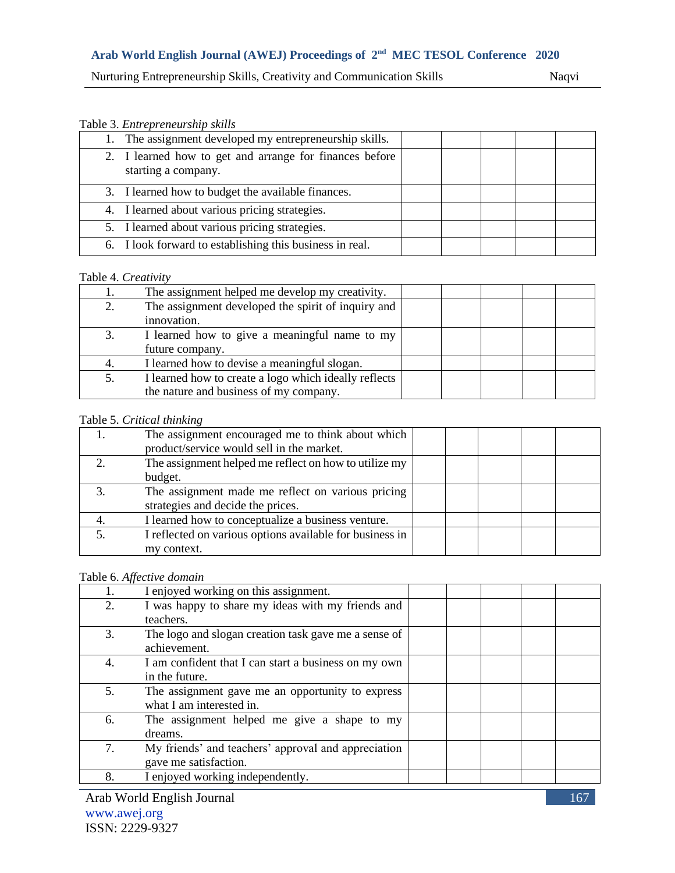Nurturing Entrepreneurship Skills, Creativity and Communication Skills Naqvi

#### Table 3. *Entrepreneurship skills*

| 1. The assignment developed my entrepreneurship skills.                        |  |  |  |
|--------------------------------------------------------------------------------|--|--|--|
| 2. I learned how to get and arrange for finances before<br>starting a company. |  |  |  |
| 3. I learned how to budget the available finances.                             |  |  |  |
| 4. I learned about various pricing strategies.                                 |  |  |  |
| 5. I learned about various pricing strategies.                                 |  |  |  |
| 6. I look forward to establishing this business in real.                       |  |  |  |

#### Table 4. *Creativity*

| The assignment helped me develop my creativity.       |  |  |  |
|-------------------------------------------------------|--|--|--|
| The assignment developed the spirit of inquiry and    |  |  |  |
| innovation.                                           |  |  |  |
| I learned how to give a meaningful name to my         |  |  |  |
| future company.                                       |  |  |  |
| I learned how to devise a meaningful slogan.          |  |  |  |
| I learned how to create a logo which ideally reflects |  |  |  |
| the nature and business of my company.                |  |  |  |

#### Table 5. *Critical thinking*

|              | The assignment encouraged me to think about which        |  |  |  |
|--------------|----------------------------------------------------------|--|--|--|
|              | product/service would sell in the market.                |  |  |  |
|              | The assignment helped me reflect on how to utilize my    |  |  |  |
|              | budget.                                                  |  |  |  |
| $\mathbf{R}$ | The assignment made me reflect on various pricing        |  |  |  |
|              | strategies and decide the prices.                        |  |  |  |
|              | I learned how to conceptualize a business venture.       |  |  |  |
|              | I reflected on various options available for business in |  |  |  |
|              | my context.                                              |  |  |  |

#### Table 6. *Affective domain*

|    | I enjoyed working on this assignment.                |  |  |  |
|----|------------------------------------------------------|--|--|--|
| 2. | I was happy to share my ideas with my friends and    |  |  |  |
|    | teachers.                                            |  |  |  |
| 3. | The logo and slogan creation task gave me a sense of |  |  |  |
|    | achievement.                                         |  |  |  |
| 4. | I am confident that I can start a business on my own |  |  |  |
|    | in the future.                                       |  |  |  |
| 5. | The assignment gave me an opportunity to express     |  |  |  |
|    | what I am interested in.                             |  |  |  |
| 6. | The assignment helped me give a shape to my          |  |  |  |
|    | dreams.                                              |  |  |  |
| 7. | My friends' and teachers' approval and appreciation  |  |  |  |
|    | gave me satisfaction.                                |  |  |  |
| 8. | I enjoyed working independently.                     |  |  |  |